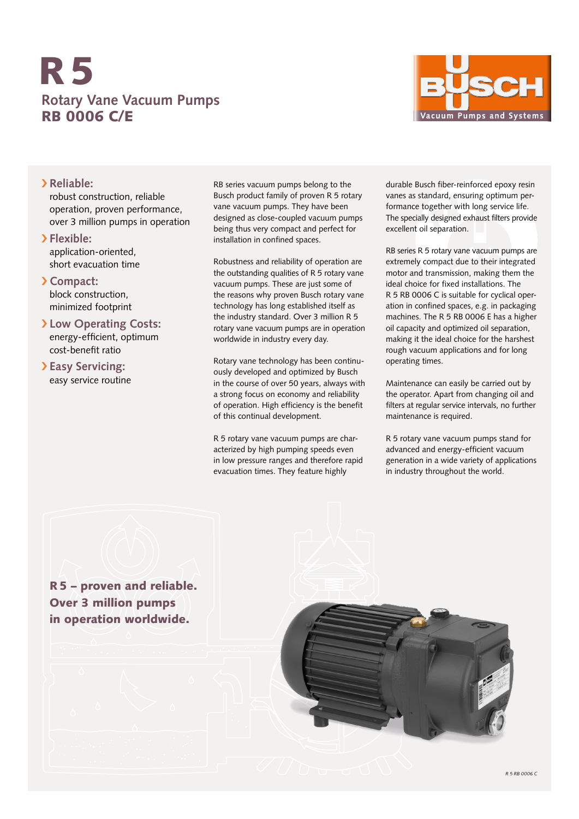## **Rotary Vane Vacuum Pumps** RB 0006 C/E R5



## › **Reliable:**

robust construction, reliable operation, proven performance, over 3 million pumps in operation

- › **Flexible:** application-oriented, short evacuation time
- › **Compact:**

block construction, minimized footprint

- › **Low Operating Costs:** energy-efficient, optimum cost-benefit ratio
- › **Easy Servicing:** easy service routine

RB series vacuum pumps belong to the Busch product family of proven R 5 rotary vane vacuum pumps. They have been designed as close-coupled vacuum pumps being thus very compact and perfect for installation in confined spaces.

Robustness and reliability of operation are the outstanding qualities of R 5 rotary vane vacuum pumps. These are just some of the reasons why proven Busch rotary vane technology has long established itself as the industry standard. Over 3 million R 5 rotary vane vacuum pumps are in operation worldwide in industry every day.

Rotary vane technology has been continuously developed and optimized by Busch in the course of over 50 years, always with a strong focus on economy and reliability of operation. High efficiency is the benefit of this continual development.

R 5 rotary vane vacuum pumps are characterized by high pumping speeds even in low pressure ranges and therefore rapid evacuation times. They feature highly

durable Busch fiber-reinforced epoxy resin vanes as standard, ensuring optimum performance together with long service life. The specially designed exhaust filters provide excellent oil separation.

RB series R 5 rotary vane vacuum pumps are extremely compact due to their integrated motor and transmission, making them the ideal choice for fixed installations. The R 5 RB 0006 C is suitable for cyclical operation in confined spaces, e.g. in packaging machines. The R 5 RB 0006 E has a higher oil capacity and optimized oil separation, making it the ideal choice for the harshest rough vacuum applications and for long operating times.

Maintenance can easily be carried out by the operator. Apart from changing oil and filters at regular service intervals, no further maintenance is required.

R 5 rotary vane vacuum pumps stand for advanced and energy-efficient vacuum generation in a wide variety of applications in industry throughout the world.

R5 – proven and reliable. Over 3 million pumps in operation worldwide.